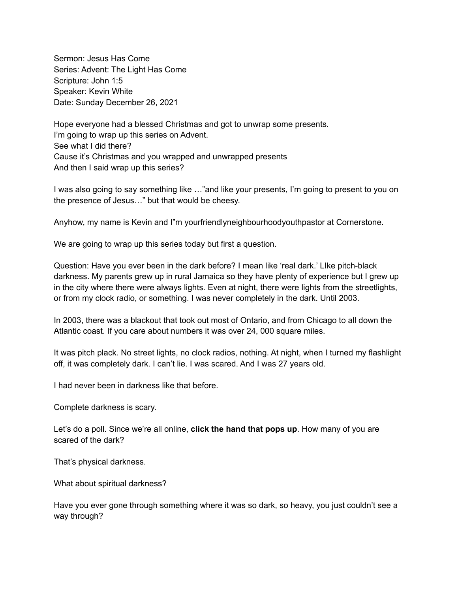Sermon: Jesus Has Come Series: Advent: The Light Has Come Scripture: John 1:5 Speaker: Kevin White Date: Sunday December 26, 2021

Hope everyone had a blessed Christmas and got to unwrap some presents. I'm going to wrap up this series on Advent. See what I did there? Cause it's Christmas and you wrapped and unwrapped presents And then I said wrap up this series?

I was also going to say something like …"and like your presents, I'm going to present to you on the presence of Jesus…" but that would be cheesy.

Anyhow, my name is Kevin and I"m yourfriendlyneighbourhoodyouthpastor at Cornerstone.

We are going to wrap up this series today but first a question.

Question: Have you ever been in the dark before? I mean like 'real dark.' LIke pitch-black darkness. My parents grew up in rural Jamaica so they have plenty of experience but I grew up in the city where there were always lights. Even at night, there were lights from the streetlights, or from my clock radio, or something. I was never completely in the dark. Until 2003.

In 2003, there was a blackout that took out most of Ontario, and from Chicago to all down the Atlantic coast. If you care about numbers it was over 24, 000 square miles.

It was pitch plack. No street lights, no clock radios, nothing. At night, when I turned my flashlight off, it was completely dark. I can't lie. I was scared. And I was 27 years old.

I had never been in darkness like that before.

Complete darkness is scary.

Let's do a poll. Since we're all online, **click the hand that pops up**. How many of you are scared of the dark?

That's physical darkness.

What about spiritual darkness?

Have you ever gone through something where it was so dark, so heavy, you just couldn't see a way through?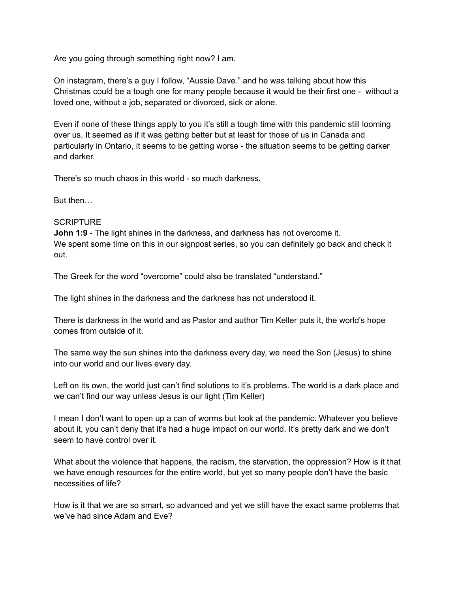Are you going through something right now? I am.

On instagram, there's a guy I follow, "Aussie Dave." and he was talking about how this Christmas could be a tough one for many people because it would be their first one - without a loved one, without a job, separated or divorced, sick or alone.

Even if none of these things apply to you it's still a tough time with this pandemic still looming over us. It seemed as if it was getting better but at least for those of us in Canada and particularly in Ontario, it seems to be getting worse - the situation seems to be getting darker and darker.

There's so much chaos in this world - so much darkness.

But then…

#### **SCRIPTURE**

**John 1:9** - The light shines in the darkness, and darkness has not overcome it. We spent some time on this in our signpost series, so you can definitely go back and check it out.

The Greek for the word "overcome" could also be translated "understand."

The light shines in the darkness and the darkness has not understood it.

There is darkness in the world and as Pastor and author Tim Keller puts it, the world's hope comes from outside of it.

The same way the sun shines into the darkness every day, we need the Son (Jesus) to shine into our world and our lives every day.

Left on its own, the world just can't find solutions to it's problems. The world is a dark place and we can't find our way unless Jesus is our light (Tim Keller)

I mean I don't want to open up a can of worms but look at the pandemic. Whatever you believe about it, you can't deny that it's had a huge impact on our world. It's pretty dark and we don't seem to have control over it.

What about the violence that happens, the racism, the starvation, the oppression? How is it that we have enough resources for the entire world, but yet so many people don't have the basic necessities of life?

How is it that we are so smart, so advanced and yet we still have the exact same problems that we've had since Adam and Eve?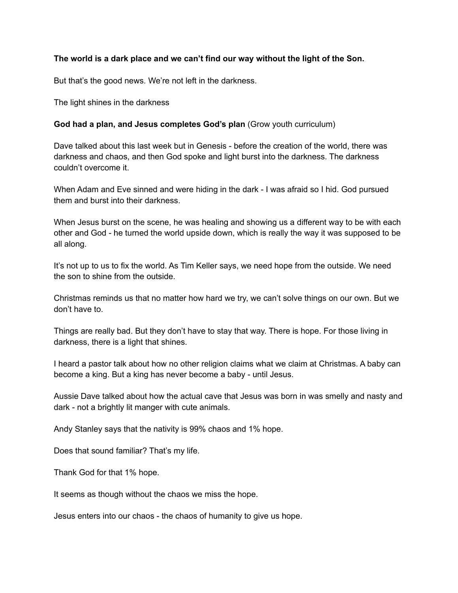### **The world is a dark place and we can't find our way without the light of the Son.**

But that's the good news. We're not left in the darkness.

The light shines in the darkness

#### **God had a plan, and Jesus completes God's plan** (Grow youth curriculum)

Dave talked about this last week but in Genesis - before the creation of the world, there was darkness and chaos, and then God spoke and light burst into the darkness. The darkness couldn't overcome it.

When Adam and Eve sinned and were hiding in the dark - I was afraid so I hid. God pursued them and burst into their darkness.

When Jesus burst on the scene, he was healing and showing us a different way to be with each other and God - he turned the world upside down, which is really the way it was supposed to be all along.

It's not up to us to fix the world. As Tim Keller says, we need hope from the outside. We need the son to shine from the outside.

Christmas reminds us that no matter how hard we try, we can't solve things on our own. But we don't have to.

Things are really bad. But they don't have to stay that way. There is hope. For those living in darkness, there is a light that shines.

I heard a pastor talk about how no other religion claims what we claim at Christmas. A baby can become a king. But a king has never become a baby - until Jesus.

Aussie Dave talked about how the actual cave that Jesus was born in was smelly and nasty and dark - not a brightly lit manger with cute animals.

Andy Stanley says that the nativity is 99% chaos and 1% hope.

Does that sound familiar? That's my life.

Thank God for that 1% hope.

It seems as though without the chaos we miss the hope.

Jesus enters into our chaos - the chaos of humanity to give us hope.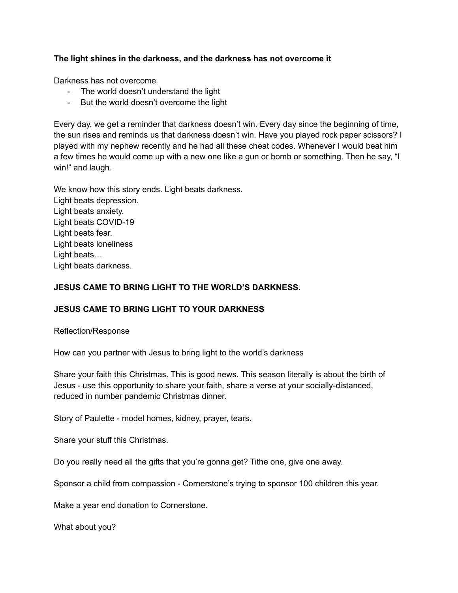# **The light shines in the darkness, and the darkness has not overcome it**

Darkness has not overcome

- The world doesn't understand the light
- But the world doesn't overcome the light

Every day, we get a reminder that darkness doesn't win. Every day since the beginning of time, the sun rises and reminds us that darkness doesn't win. Have you played rock paper scissors? I played with my nephew recently and he had all these cheat codes. Whenever I would beat him a few times he would come up with a new one like a gun or bomb or something. Then he say, "I win!" and laugh.

We know how this story ends. Light beats darkness. Light beats depression. Light beats anxiety. Light beats COVID-19 Light beats fear. Light beats loneliness Light beats… Light beats darkness.

### **JESUS CAME TO BRING LIGHT TO THE WORLD'S DARKNESS.**

### **JESUS CAME TO BRING LIGHT TO YOUR DARKNESS**

Reflection/Response

How can you partner with Jesus to bring light to the world's darkness

Share your faith this Christmas. This is good news. This season literally is about the birth of Jesus - use this opportunity to share your faith, share a verse at your socially-distanced, reduced in number pandemic Christmas dinner.

Story of Paulette - model homes, kidney, prayer, tears.

Share your stuff this Christmas.

Do you really need all the gifts that you're gonna get? Tithe one, give one away.

Sponsor a child from compassion - Cornerstone's trying to sponsor 100 children this year.

Make a year end donation to Cornerstone.

What about you?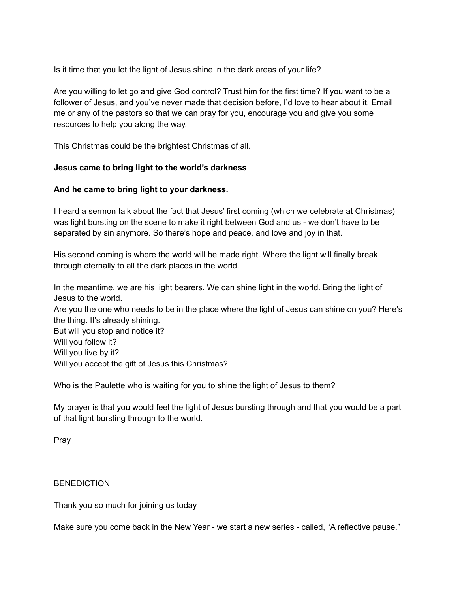Is it time that you let the light of Jesus shine in the dark areas of your life?

Are you willing to let go and give God control? Trust him for the first time? If you want to be a follower of Jesus, and you've never made that decision before, I'd love to hear about it. Email me or any of the pastors so that we can pray for you, encourage you and give you some resources to help you along the way.

This Christmas could be the brightest Christmas of all.

# **Jesus came to bring light to the world's darkness**

### **And he came to bring light to your darkness.**

I heard a sermon talk about the fact that Jesus' first coming (which we celebrate at Christmas) was light bursting on the scene to make it right between God and us - we don't have to be separated by sin anymore. So there's hope and peace, and love and joy in that.

His second coming is where the world will be made right. Where the light will finally break through eternally to all the dark places in the world.

In the meantime, we are his light bearers. We can shine light in the world. Bring the light of Jesus to the world.

Are you the one who needs to be in the place where the light of Jesus can shine on you? Here's the thing. It's already shining.

But will you stop and notice it? Will you follow it? Will you live by it? Will you accept the gift of Jesus this Christmas?

Who is the Paulette who is waiting for you to shine the light of Jesus to them?

My prayer is that you would feel the light of Jesus bursting through and that you would be a part of that light bursting through to the world.

Pray

### **BENEDICTION**

Thank you so much for joining us today

Make sure you come back in the New Year - we start a new series - called, "A reflective pause."